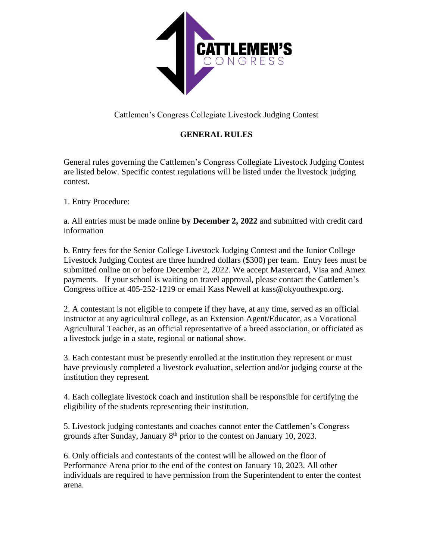

Cattlemen's Congress Collegiate Livestock Judging Contest

## **GENERAL RULES**

General rules governing the Cattlemen's Congress Collegiate Livestock Judging Contest are listed below. Specific contest regulations will be listed under the livestock judging contest.

1. Entry Procedure:

a. All entries must be made online **by December 2, 2022** and submitted with credit card information

b. Entry fees for the Senior College Livestock Judging Contest and the Junior College Livestock Judging Contest are three hundred dollars (\$300) per team. Entry fees must be submitted online on or before December 2, 2022. We accept Mastercard, Visa and Amex payments. If your school is waiting on travel approval, please contact the Cattlemen's Congress office at 405-252-1219 or email Kass Newell at kass@okyouthexpo.org.

2. A contestant is not eligible to compete if they have, at any time, served as an official instructor at any agricultural college, as an Extension Agent/Educator, as a Vocational Agricultural Teacher, as an official representative of a breed association, or officiated as a livestock judge in a state, regional or national show.

3. Each contestant must be presently enrolled at the institution they represent or must have previously completed a livestock evaluation, selection and/or judging course at the institution they represent.

4. Each collegiate livestock coach and institution shall be responsible for certifying the eligibility of the students representing their institution.

5. Livestock judging contestants and coaches cannot enter the Cattlemen's Congress grounds after Sunday, January  $8<sup>th</sup>$  prior to the contest on January 10, 2023.

6. Only officials and contestants of the contest will be allowed on the floor of Performance Arena prior to the end of the contest on January 10, 2023. All other individuals are required to have permission from the Superintendent to enter the contest arena.